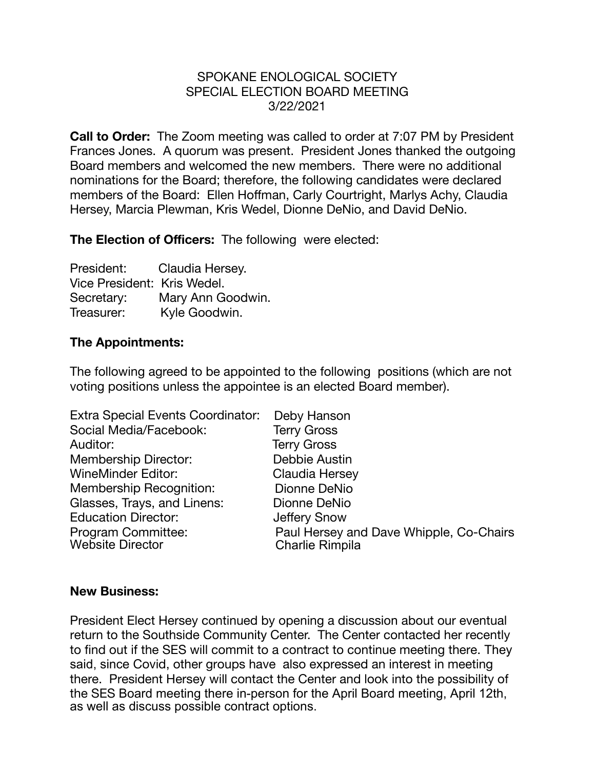## SPOKANE ENOLOGICAL SOCIETY SPECIAL ELECTION BOARD MEETING 3/22/2021

**Call to Order:** The Zoom meeting was called to order at 7:07 PM by President Frances Jones. A quorum was present. President Jones thanked the outgoing Board members and welcomed the new members. There were no additional nominations for the Board; therefore, the following candidates were declared members of the Board: Ellen Hoffman, Carly Courtright, Marlys Achy, Claudia Hersey, Marcia Plewman, Kris Wedel, Dionne DeNio, and David DeNio.

**The Election of Officers:** The following were elected:

| President:                  | Claudia Hersey.   |
|-----------------------------|-------------------|
| Vice President: Kris Wedel. |                   |
| Secretary:                  | Mary Ann Goodwin. |
| Treasurer:                  | Kyle Goodwin.     |

## **The Appointments:**

The following agreed to be appointed to the following positions (which are not voting positions unless the appointee is an elected Board member).

| <b>Extra Special Events Coordinator:</b>      | Deby Hanson                                                       |
|-----------------------------------------------|-------------------------------------------------------------------|
| Social Media/Facebook:                        | <b>Terry Gross</b>                                                |
| Auditor:                                      | <b>Terry Gross</b>                                                |
| <b>Membership Director:</b>                   | Debbie Austin                                                     |
| <b>WineMinder Editor:</b>                     | Claudia Hersey                                                    |
| Membership Recognition:                       | Dionne DeNio                                                      |
| Glasses, Trays, and Linens:                   | Dionne DeNio                                                      |
| <b>Education Director:</b>                    | <b>Jeffery Snow</b>                                               |
| Program Committee:<br><b>Website Director</b> | Paul Hersey and Dave Whipple, Co-Chairs<br><b>Charlie Rimpila</b> |

## **New Business:**

President Elect Hersey continued by opening a discussion about our eventual return to the Southside Community Center. The Center contacted her recently to find out if the SES will commit to a contract to continue meeting there. They said, since Covid, other groups have also expressed an interest in meeting there. President Hersey will contact the Center and look into the possibility of the SES Board meeting there in-person for the April Board meeting, April 12th, as well as discuss possible contract options.